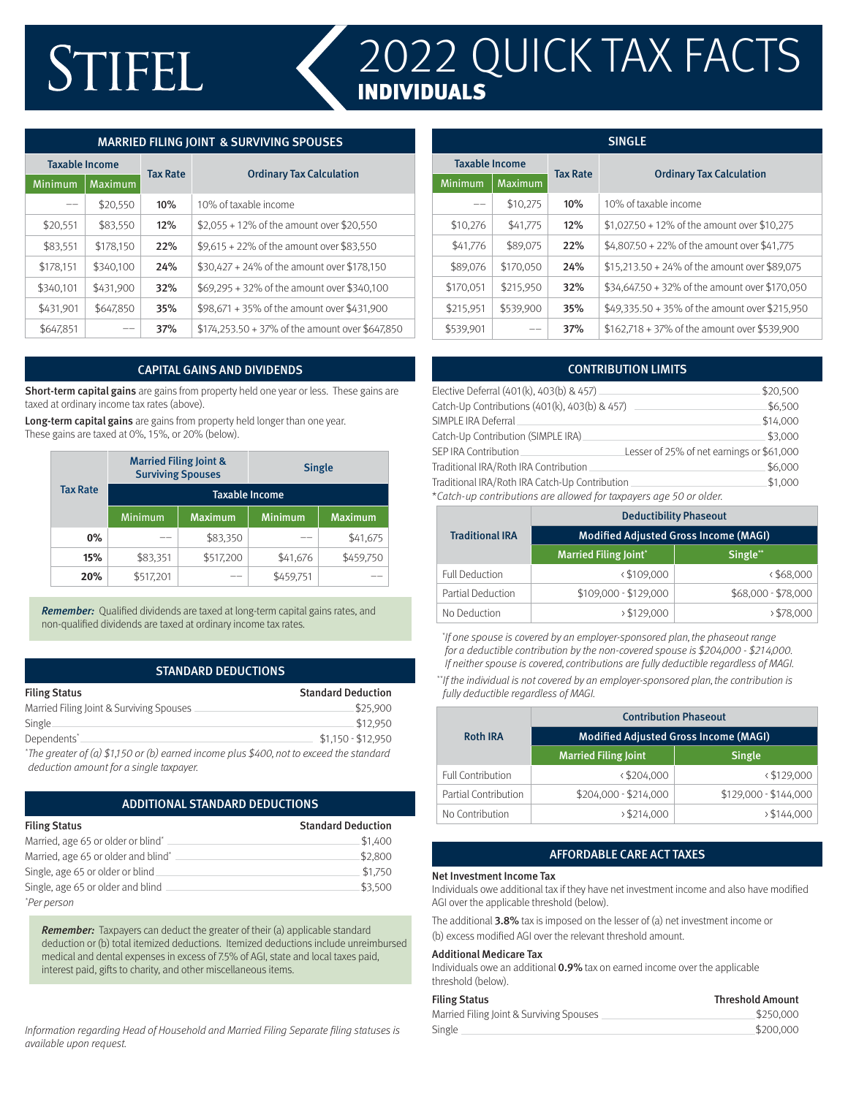# STIFEL

# 2022 QUICK TAX FACTS INDIVIDUALS

## MARRIED FILING JOINT & SURVIVING SPOUSES

| <b>Taxable Income</b> |                | <b>Tax Rate</b> |                                                 |
|-----------------------|----------------|-----------------|-------------------------------------------------|
| Minimum               | <b>Maximum</b> |                 | <b>Ordinary Tax Calculation</b>                 |
|                       | \$20,550       | 10%             | 10% of taxable income                           |
| \$20,551              | \$83,550       | 12%             | \$2,055 + 12% of the amount over \$20,550       |
| \$83,551              | \$178,150      | 22%             | \$9,615 + 22% of the amount over \$83,550       |
| \$178,151             | \$340,100      | 24%             | \$30,427 + 24% of the amount over \$178,150     |
| \$340,101             | \$431,900      | 32%             | \$69,295 + 32% of the amount over \$340,100     |
| \$431,901             | \$647,850      | 35%             | \$98,671 + 35% of the amount over \$431,900     |
| \$647.851             |                | 37%             | \$174,253.50 + 37% of the amount over \$647,850 |

#### CAPITAL GAINS AND DIVIDENDS

Short-term capital gains are gains from property held one year or less. These gains are taxed at ordinary income tax rates (above).

Long-term capital gains are gains from property held longer than one year. These gains are taxed at 0%, 15%, or 20% (below).

| <b>Tax Rate</b> | <b>Married Filing Joint &amp;</b><br><b>Surviving Spouses</b> |                | <b>Single</b>  |                |  |  |
|-----------------|---------------------------------------------------------------|----------------|----------------|----------------|--|--|
|                 | <b>Taxable Income</b>                                         |                |                |                |  |  |
|                 | Minimum                                                       | <b>Maximum</b> | <b>Minimum</b> | <b>Maximum</b> |  |  |
| $0\%$           |                                                               | \$83,350       |                | \$41,675       |  |  |
| 15%             | \$83,351                                                      | \$517,200      | \$41,676       | \$459,750      |  |  |
| 20%             | \$517,201                                                     |                | \$459,751      |                |  |  |

**Remember:** Qualified dividends are taxed at long-term capital gains rates, and non-qualified dividends are taxed at ordinary income tax rates.

#### STANDARD DEDUCTIONS

| <b>Filing Status</b>                     | <b>Standard Deduction</b> |
|------------------------------------------|---------------------------|
| Married Filing Joint & Surviving Spouses | \$25,900                  |
| Single.                                  | \$12,950                  |
| Dependents <sup>*</sup>                  | $$1.150 - $12.950$        |
|                                          |                           |

\* The greater of (a) \$1,150 or (b) earned income plus \$400, not to exceed the standard deduction amount for a single taxpayer.

#### ADDITIONAL STANDARD DEDUCTIONS

| <b>Filing Status</b>                | <b>Standard Deduction</b> |
|-------------------------------------|---------------------------|
| Married, age 65 or older or blind*  | \$1,400                   |
| Married, age 65 or older and blind* | \$2,800                   |
| Single, age 65 or older or blind    | \$1,750                   |
| Single, age 65 or older and blind   | \$3,500                   |
| *Per person                         |                           |

Remember: Taxpayers can deduct the greater of their (a) applicable standard deduction or (b) total itemized deductions. Itemized deductions include unreimbursed medical and dental expenses in excess of 7.5% of AGI, state and local taxes paid, interest paid, gifts to charity, and other miscellaneous items.

Information regarding Head of Household and Married Filing Separate filing statuses is available upon request.

| <b>SINGLE</b>         |                |                 |                                                |
|-----------------------|----------------|-----------------|------------------------------------------------|
| <b>Taxable Income</b> |                | <b>Tax Rate</b> | <b>Ordinary Tax Calculation</b>                |
| Minimum               | <b>Maximum</b> |                 |                                                |
|                       | \$10,275       | 10%             | 10% of taxable income                          |
| \$10,276              | \$41,775       | 12%             | \$1,027.50 + 12% of the amount over \$10,275   |
| \$41,776              | \$89,075       | 22%             | \$4,807.50 + 22% of the amount over \$41,775   |
| \$89,076              | \$170,050      | 24%             | \$15,213.50 + 24% of the amount over \$89,075  |
| \$170,051             | \$215,950      | 32%             | \$34,647.50 + 32% of the amount over \$170,050 |
| \$215,951             | \$539,900      | 35%             | \$49,335.50 + 35% of the amount over \$215,950 |
| \$539,901             |                | 37%             | $$162,718 + 37\%$ of the amount over \$539,900 |

|                                                                    | <b>CONTRIBUTION LIMITS</b>                |  |
|--------------------------------------------------------------------|-------------------------------------------|--|
| Elective Deferral (401(k), 403(b) & 457)                           | \$20,500                                  |  |
| Catch-Up Contributions (401(k), 403(b) & 457)                      | \$6,500                                   |  |
| SIMPLE IRA Deferral                                                | \$14,000                                  |  |
| Catch-Up Contribution (SIMPLE IRA).                                | \$3,000                                   |  |
| SEP IRA Contribution                                               | Lesser of 25% of net earnings or \$61,000 |  |
| Traditional IRA/Roth IRA Contribution                              | \$6,000                                   |  |
| Traditional IRA/Roth IRA Catch-Up Contribution                     |                                           |  |
| *Catch-up contributions are allowed for taxpayers age 50 or older. |                                           |  |

|                          | <b>Deductibility Phaseout</b>                |                     |  |  |
|--------------------------|----------------------------------------------|---------------------|--|--|
| <b>Traditional IRA</b>   | <b>Modified Adjusted Gross Income (MAGI)</b> |                     |  |  |
|                          | <b>Married Filing Joint</b> *                | Single**            |  |  |
| <b>Full Deduction</b>    | < \$109,000                                  | < \$68,000          |  |  |
| <b>Partial Deduction</b> | \$109,000 - \$129,000                        | \$68,000 - \$78,000 |  |  |
| No Deduction             | 5129,000                                     | > \$78,000          |  |  |

\* If one spouse is covered by an employer-sponsored plan, the phaseout range for a deductible contribution by the non-covered spouse is \$204,000 - \$214,000. If neither spouse is covered, contributions are fully deductible regardless of MAGI.

\*\*If the individual is not covered by an employer-sponsored plan, the contribution is fully deductible regardless of MAGI.

|                      | <b>Contribution Phaseout</b>                 |                       |  |  |
|----------------------|----------------------------------------------|-----------------------|--|--|
| <b>Roth IRA</b>      | <b>Modified Adjusted Gross Income (MAGI)</b> |                       |  |  |
|                      | <b>Married Filing Joint</b>                  | <b>Single</b>         |  |  |
| Full Contribution    | < \$204.000                                  | < \$129.000           |  |  |
| Partial Contribution | \$204,000 - \$214,000                        | \$129,000 - \$144,000 |  |  |
| No Contribution      | $\frac{1}{2}$ \$214.000                      | 5144,000              |  |  |

#### AFFORDABLE CARE ACT TAXES

#### Net Investment Income Tax

Individuals owe additional tax if they have net investment income and also have modified AGI over the applicable threshold (below).

The additional 3.8% tax is imposed on the lesser of (a) net investment income or (b) excess modified AGI over the relevant threshold amount.

#### Additional Medicare Tax

Individuals owe an additional 0.9% tax on earned income over the applicable threshold (below).

| <b>Filing Status</b>                     | <b>Threshold Amount</b> |
|------------------------------------------|-------------------------|
| Married Filing Joint & Surviving Spouses | \$250,000               |
| Single                                   | \$200,000               |